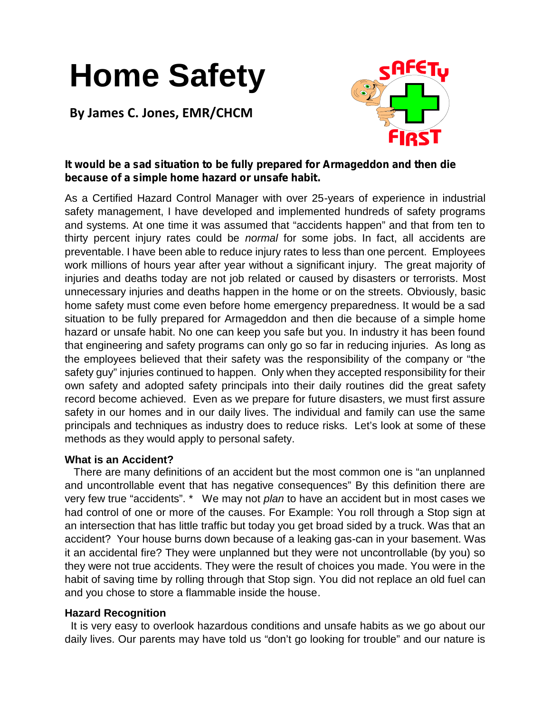# **Home Safety**

**By James C. Jones, EMR/CHCM**



# *It would be a sad situation to be fully prepared for Armageddon and then die because of a simple home hazard or unsafe habit.*

As a Certified Hazard Control Manager with over 25-years of experience in industrial safety management, I have developed and implemented hundreds of safety programs and systems. At one time it was assumed that "accidents happen" and that from ten to thirty percent injury rates could be *normal* for some jobs. In fact, all accidents are preventable. I have been able to reduce injury rates to less than one percent. Employees work millions of hours year after year without a significant injury. The great majority of injuries and deaths today are not job related or caused by disasters or terrorists. Most unnecessary injuries and deaths happen in the home or on the streets. Obviously, basic home safety must come even before home emergency preparedness. It would be a sad situation to be fully prepared for Armageddon and then die because of a simple home hazard or unsafe habit. No one can keep you safe but you. In industry it has been found that engineering and safety programs can only go so far in reducing injuries. As long as the employees believed that their safety was the responsibility of the company or "the safety guy" injuries continued to happen. Only when they accepted responsibility for their own safety and adopted safety principals into their daily routines did the great safety record become achieved. Even as we prepare for future disasters, we must first assure safety in our homes and in our daily lives. The individual and family can use the same principals and techniques as industry does to reduce risks. Let's look at some of these methods as they would apply to personal safety.

## **What is an Accident?**

There are many definitions of an accident but the most common one is "an unplanned and uncontrollable event that has negative consequences" By this definition there are very few true "accidents". \* We may not *plan* to have an accident but in most cases we had control of one or more of the causes. For Example: You roll through a Stop sign at an intersection that has little traffic but today you get broad sided by a truck. Was that an accident? Your house burns down because of a leaking gas-can in your basement. Was it an accidental fire? They were unplanned but they were not uncontrollable (by you) so they were not true accidents. They were the result of choices you made. You were in the habit of saving time by rolling through that Stop sign. You did not replace an old fuel can and you chose to store a flammable inside the house.

## **Hazard Recognition**

It is very easy to overlook hazardous conditions and unsafe habits as we go about our daily lives. Our parents may have told us "don't go looking for trouble" and our nature is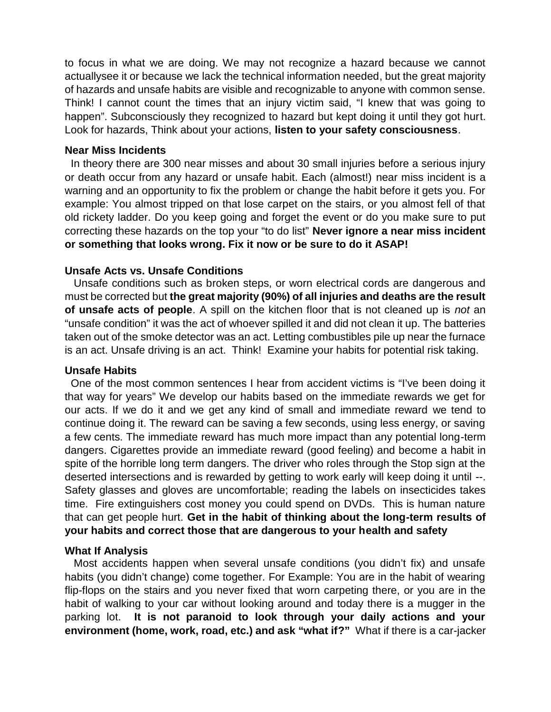to focus in what we are doing. We may not recognize a hazard because we cannot actuallysee it or because we lack the technical information needed, but the great majority of hazards and unsafe habits are visible and recognizable to anyone with common sense. Think! I cannot count the times that an injury victim said, "I knew that was going to happen". Subconsciously they recognized to hazard but kept doing it until they got hurt. Look for hazards, Think about your actions, **listen to your safety consciousness**.

## **Near Miss Incidents**

In theory there are 300 near misses and about 30 small injuries before a serious injury or death occur from any hazard or unsafe habit. Each (almost!) near miss incident is a warning and an opportunity to fix the problem or change the habit before it gets you. For example: You almost tripped on that lose carpet on the stairs, or you almost fell of that old rickety ladder. Do you keep going and forget the event or do you make sure to put correcting these hazards on the top your "to do list" **Never ignore a near miss incident or something that looks wrong. Fix it now or be sure to do it ASAP!**

## **Unsafe Acts vs. Unsafe Conditions**

Unsafe conditions such as broken steps, or worn electrical cords are dangerous and must be corrected but **the great majority (90%) of all injuries and deaths are the result of unsafe acts of people**. A spill on the kitchen floor that is not cleaned up is *not* an "unsafe condition" it was the act of whoever spilled it and did not clean it up. The batteries taken out of the smoke detector was an act. Letting combustibles pile up near the furnace is an act. Unsafe driving is an act. Think! Examine your habits for potential risk taking.

### **Unsafe Habits**

One of the most common sentences I hear from accident victims is "I've been doing it that way for years" We develop our habits based on the immediate rewards we get for our acts. If we do it and we get any kind of small and immediate reward we tend to continue doing it. The reward can be saving a few seconds, using less energy, or saving a few cents. The immediate reward has much more impact than any potential long-term dangers. Cigarettes provide an immediate reward (good feeling) and become a habit in spite of the horrible long term dangers. The driver who roles through the Stop sign at the deserted intersections and is rewarded by getting to work early will keep doing it until --. Safety glasses and gloves are uncomfortable; reading the labels on insecticides takes time. Fire extinguishers cost money you could spend on DVDs. This is human nature that can get people hurt. **Get in the habit of thinking about the long-term results of your habits and correct those that are dangerous to your health and safety**

#### **What If Analysis**

Most accidents happen when several unsafe conditions (you didn't fix) and unsafe habits (you didn't change) come together. For Example: You are in the habit of wearing flip-flops on the stairs and you never fixed that worn carpeting there, or you are in the habit of walking to your car without looking around and today there is a mugger in the parking lot. **It is not paranoid to look through your daily actions and your environment (home, work, road, etc.) and ask "what if?"** What if there is a car-jacker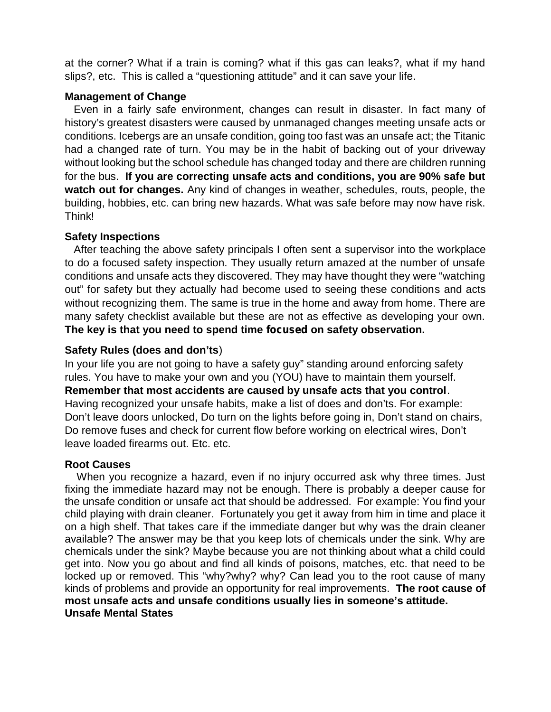at the corner? What if a train is coming? what if this gas can leaks?, what if my hand slips?, etc. This is called a "questioning attitude" and it can save your life.

# **Management of Change**

Even in a fairly safe environment, changes can result in disaster. In fact many of history's greatest disasters were caused by unmanaged changes meeting unsafe acts or conditions. Icebergs are an unsafe condition, going too fast was an unsafe act; the Titanic had a changed rate of turn. You may be in the habit of backing out of your driveway without looking but the school schedule has changed today and there are children running for the bus. **If you are correcting unsafe acts and conditions, you are 90% safe but watch out for changes.** Any kind of changes in weather, schedules, routs, people, the building, hobbies, etc. can bring new hazards. What was safe before may now have risk. Think!

## **Safety Inspections**

After teaching the above safety principals I often sent a supervisor into the workplace to do a focused safety inspection. They usually return amazed at the number of unsafe conditions and unsafe acts they discovered. They may have thought they were "watching out" for safety but they actually had become used to seeing these conditions and acts without recognizing them. The same is true in the home and away from home. There are many safety checklist available but these are not as effective as developing your own. **The key is that you need to spend time** *focused* **on safety observation.**

## **Safety Rules (does and don'ts**)

In your life you are not going to have a safety guy" standing around enforcing safety rules. You have to make your own and you (YOU) have to maintain them yourself. **Remember that most accidents are caused by unsafe acts that you control**. Having recognized your unsafe habits, make a list of does and don'ts. For example: Don't leave doors unlocked, Do turn on the lights before going in, Don't stand on chairs, Do remove fuses and check for current flow before working on electrical wires, Don't leave loaded firearms out. Etc. etc.

## **Root Causes**

When you recognize a hazard, even if no injury occurred ask why three times. Just fixing the immediate hazard may not be enough. There is probably a deeper cause for the unsafe condition or unsafe act that should be addressed. For example: You find your child playing with drain cleaner. Fortunately you get it away from him in time and place it on a high shelf. That takes care if the immediate danger but why was the drain cleaner available? The answer may be that you keep lots of chemicals under the sink. Why are chemicals under the sink? Maybe because you are not thinking about what a child could get into. Now you go about and find all kinds of poisons, matches, etc. that need to be locked up or removed. This "why?why? why? Can lead you to the root cause of many kinds of problems and provide an opportunity for real improvements. **The root cause of most unsafe acts and unsafe conditions usually lies in someone's attitude. Unsafe Mental States**